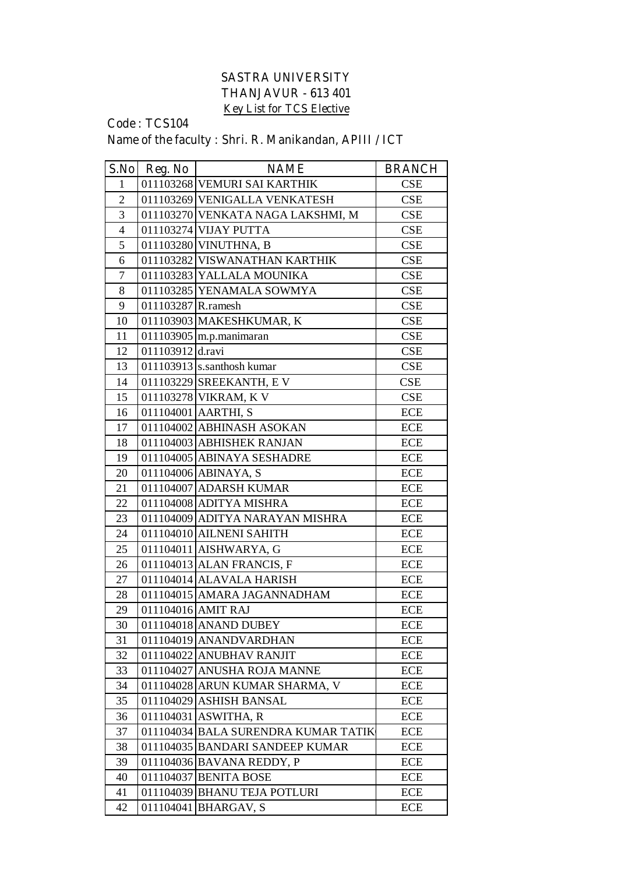## **SASTRA UNIVERSITY THANJAVUR - 613 401 Key List for TCS Elective**

## **Code : TCS104 Name of the faculty : Shri. R. Manikandan, APIII / ICT**

|                | S.No Reg. No       | <b>NAME</b>                         | <b>BRANCH</b> |
|----------------|--------------------|-------------------------------------|---------------|
| 1              |                    | 011103268 VEMURI SAI KARTHIK        | <b>CSE</b>    |
| $\overline{2}$ |                    | 011103269 VENIGALLA VENKATESH       | CSE           |
| 3              |                    | 011103270 VENKATA NAGA LAKSHMI, M   | <b>CSE</b>    |
| $\overline{4}$ |                    | 011103274 VIJAY PUTTA               | <b>CSE</b>    |
| 5              |                    | 011103280 VINUTHNA, B               | CSE           |
| 6              |                    | 011103282 VISWANATHAN KARTHIK       | <b>CSE</b>    |
| $\overline{7}$ |                    | 011103283 YALLALA MOUNIKA           | <b>CSE</b>    |
| 8              |                    | 011103285 YENAMALA SOWMYA           | <b>CSE</b>    |
| 9              | 011103287 R.ramesh |                                     | CSE           |
| 10             |                    | 011103903 MAKESHKUMAR, K            | <b>CSE</b>    |
| 11             |                    | 011103905 m.p.manimaran             | CSE           |
| 12             | 011103912 d.ravi   |                                     | <b>CSE</b>    |
| 13             |                    | 011103913 s.santhosh kumar          | <b>CSE</b>    |
| 14             |                    | 011103229 SREEKANTH, EV             | <b>CSE</b>    |
| 15             |                    | 011103278 VIKRAM, K V               | <b>CSE</b>    |
| 16             |                    | 011104001 AARTHI, S                 | <b>ECE</b>    |
| 17             |                    | 011104002 ABHINASH ASOKAN           | <b>ECE</b>    |
| 18             |                    | 011104003 ABHISHEK RANJAN           | <b>ECE</b>    |
| 19             |                    | 011104005 ABINAYA SESHADRE          | <b>ECE</b>    |
| 20             |                    | 011104006 ABINAYA, S                | <b>ECE</b>    |
| 21             |                    | 011104007 ADARSH KUMAR              | <b>ECE</b>    |
| 22             |                    | 011104008 ADITYA MISHRA             | <b>ECE</b>    |
| 23             |                    | 011104009 ADITYA NARAYAN MISHRA     | <b>ECE</b>    |
| 24             |                    | 011104010 AILNENI SAHITH            | <b>ECE</b>    |
| 25             |                    | 011104011 AISHWARYA, G              | <b>ECE</b>    |
| 26             |                    | 011104013 ALAN FRANCIS, F           | <b>ECE</b>    |
| 27             |                    | 011104014 ALAVALA HARISH            | <b>ECE</b>    |
| 28             |                    | 011104015 AMARA JAGANNADHAM         | <b>ECE</b>    |
| 29             |                    | 011104016 AMIT RAJ                  | <b>ECE</b>    |
| 30             |                    | 011104018 ANAND DUBEY               | <b>ECE</b>    |
| 31             |                    | 011104019 ANANDVARDHAN              | <b>ECE</b>    |
| 32             |                    | 011104022 ANUBHAV RANJIT            | <b>ECE</b>    |
| 33             |                    | 011104027 ANUSHA ROJA MANNE         | <b>ECE</b>    |
| 34             |                    | 011104028 ARUN KUMAR SHARMA, V      | ECE           |
| 35             |                    | 011104029 ASHISH BANSAL             | ECE           |
| 36             |                    | 011104031 ASWITHA, R                | ECE           |
| 37             |                    | 011104034 BALA SURENDRA KUMAR TATIK | ECE           |
| 38             |                    | 011104035 BANDARI SANDEEP KUMAR     | ECE           |
| 39             |                    | 011104036 BAVANA REDDY, P           | <b>ECE</b>    |
| 40             |                    | 011104037 BENITA BOSE               | <b>ECE</b>    |
| 41             |                    | 011104039 BHANU TEJA POTLURI        | <b>ECE</b>    |
| 42             | 011104041          | <b>BHARGAV, S</b>                   | <b>ECE</b>    |